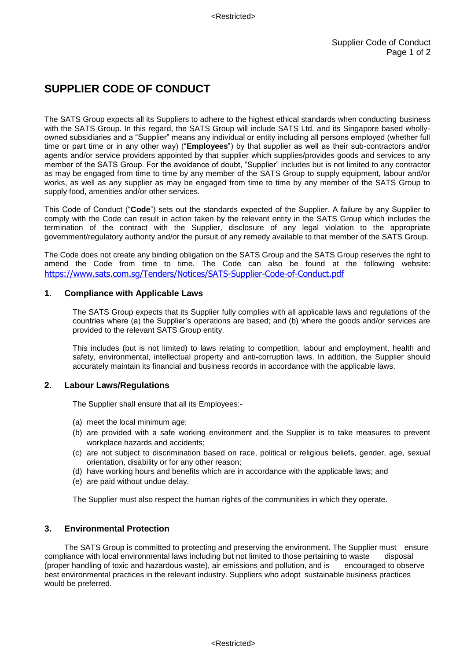# **SUPPLIER CODE OF CONDUCT**

The SATS Group expects all its Suppliers to adhere to the highest ethical standards when conducting business with the SATS Group. In this regard, the SATS Group will include SATS Ltd. and its Singapore based whollyowned subsidiaries and a "Supplier" means any individual or entity including all persons employed (whether full time or part time or in any other way) ("**Employees**") by that supplier as well as their sub-contractors and/or agents and/or service providers appointed by that supplier which supplies/provides goods and services to any member of the SATS Group. For the avoidance of doubt, "Supplier" includes but is not limited to any contractor as may be engaged from time to time by any member of the SATS Group to supply equipment, labour and/or works, as well as any supplier as may be engaged from time to time by any member of the SATS Group to supply food, amenities and/or other services.

This Code of Conduct ("**Code**") sets out the standards expected of the Supplier. A failure by any Supplier to comply with the Code can result in action taken by the relevant entity in the SATS Group which includes the termination of the contract with the Supplier, disclosure of any legal violation to the appropriate government/regulatory authority and/or the pursuit of any remedy available to that member of the SATS Group.

The Code does not create any binding obligation on the SATS Group and the SATS Group reserves the right to amend the Code from time to time. The Code can also be found at the following website: <https://www.sats.com.sg/Tenders/Notices/SATS-Supplier-Code-of-Conduct.pdf>

## **1. Compliance with Applicable Laws**

The SATS Group expects that its Supplier fully complies with all applicable laws and regulations of the countries where (a) the Supplier's operations are based; and (b) where the goods and/or services are provided to the relevant SATS Group entity.

This includes (but is not limited) to laws relating to competition, labour and employment, health and safety, environmental, intellectual property and anti-corruption laws. In addition, the Supplier should accurately maintain its financial and business records in accordance with the applicable laws.

## **2. Labour Laws/Regulations**

The Supplier shall ensure that all its Employees:-

- (a) meet the local minimum age;
- (b) are provided with a safe working environment and the Supplier is to take measures to prevent workplace hazards and accidents;
- (c) are not subject to discrimination based on race, political or religious beliefs, gender, age, sexual orientation, disability or for any other reason;
- (d) have working hours and benefits which are in accordance with the applicable laws; and
- (e) are paid without undue delay.

The Supplier must also respect the human rights of the communities in which they operate.

# **3. Environmental Protection**

The SATS Group is committed to protecting and preserving the environment. The Supplier must ensure compliance with local environmental laws including but not limited to those pertaining to waste disposal (proper handling of toxic and hazardous waste), air emissions and pollution, and is encouraged to observe best environmental practices in the relevant industry. Suppliers who adopt sustainable business practices would be preferred.